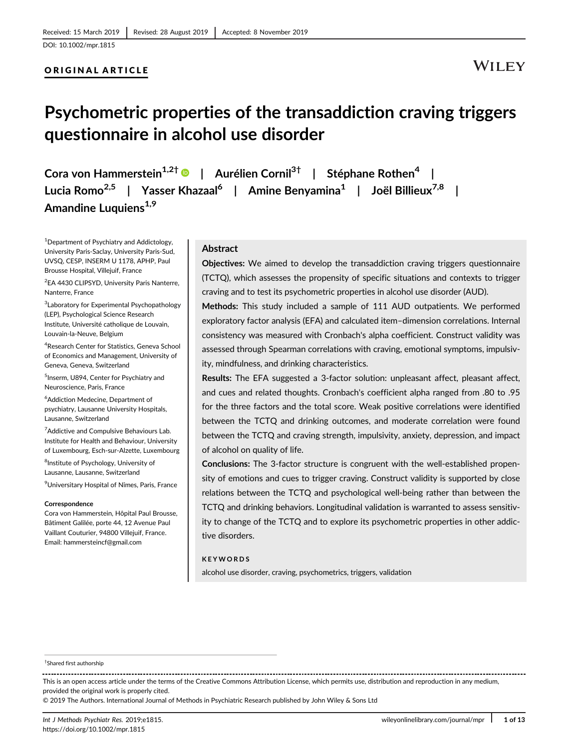# ORIGINAL ARTICLE

# **WILEY**

# **Psychometric properties of the transaddiction craving triggers questionnaire in alcohol use disorder**

**Cora von Hammerstein1,2† | Aurélien Cornil3† | Stéphane Rothen<sup>4</sup> | Lucia Romo2,5 | Yasser Khazaal6 | Amine Benyamina1 | Joël Billieux7,8 |** Amandine Luquiens<sup>1,9</sup>

<sup>1</sup> Department of Psychiatry and Addictology, University Paris-Saclay, University Paris-Sud, UVSQ, CESP, INSERM U 1178, APHP, Paul Brousse Hospital, Villejuif, France

<sup>2</sup>EA 4430 CLIPSYD, University Paris Nanterre, Nanterre, France

<sup>3</sup> Laboratory for Experimental Psychopathology (LEP), Psychological Science Research Institute, Université catholique de Louvain, Louvain-la-Neuve, Belgium

4 Research Center for Statistics, Geneva School of Economics and Management, University of Geneva, Geneva, Switzerland

5 Inserm, U894, Center for Psychiatry and Neuroscience, Paris, France

6 Addiction Medecine, Department of psychiatry, Lausanne University Hospitals, Lausanne, Switzerland

<sup>7</sup> Addictive and Compulsive Behaviours Lab. Institute for Health and Behaviour, University of Luxembourg, Esch-sur-Alzette, Luxembourg

<sup>8</sup>Institute of Psychology, University of Lausanne, Lausanne, Switzerland

9 Universitary Hospital of Nîmes, Paris, France

#### **Correspondence**

Cora von Hammerstein, Hôpital Paul Brousse, Bâtiment Galilée, porte 44, 12 Avenue Paul Vaillant Couturier, 94800 Villejuif, France. Email: [hammersteincf@gmail.com](mailto:hammersteincf@gmail.com)

#### **Abstract**

**Objectives:** We aimed to develop the transaddiction craving triggers questionnaire (TCTQ), which assesses the propensity of specific situations and contexts to trigger craving and to test its psychometric properties in alcohol use disorder (AUD).

**Methods:** This study included a sample of 111 AUD outpatients. We performed exploratory factor analysis (EFA) and calculated item–dimension correlations. Internal consistency was measured with Cronbach's alpha coefficient. Construct validity was assessed through Spearman correlations with craving, emotional symptoms, impulsivity, mindfulness, and drinking characteristics.

**Results:** The EFA suggested a 3-factor solution: unpleasant affect, pleasant affect, and cues and related thoughts. Cronbach's coefficient alpha ranged from .80 to .95 for the three factors and the total score. Weak positive correlations were identified between the TCTQ and drinking outcomes, and moderate correlation were found between the TCTQ and craving strength, impulsivity, anxiety, depression, and impact of alcohol on quality of life.

**Conclusions:** The 3-factor structure is congruent with the well-established propensity of emotions and cues to trigger craving. Construct validity is supported by close relations between the TCTQ and psychological well-being rather than between the TCTQ and drinking behaviors. Longitudinal validation is warranted to assess sensitivity to change of the TCTQ and to explore its psychometric properties in other addictive disorders.

#### **KEYWORDS**

alcohol use disorder, craving, psychometrics, triggers, validation

This is an open access article under the terms of the [Creative Commons Attribution](http://creativecommons.org/licenses/by/4.0/) License, which permits use, distribution and reproduction in any medium, provided the original work is properly cited.

© 2019 The Authors. International Journal of Methods in Psychiatric Research published by John Wiley & Sons Ltd

<sup>†</sup> Shared first authorship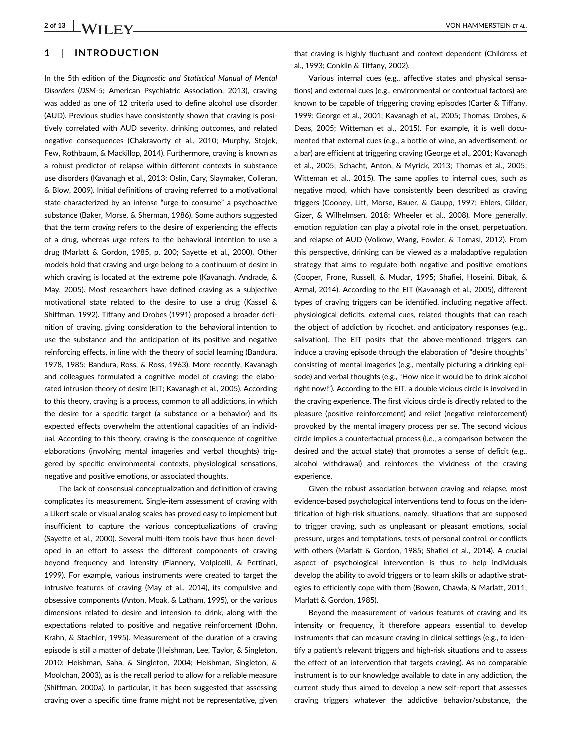# **1** | **INTRODUCTION**

In the 5th edition of the *Diagnostic and Statistical Manual of Mental Disorders* (*DSM-5*; American Psychiatric Association, 2013), craving was added as one of 12 criteria used to define alcohol use disorder (AUD). Previous studies have consistently shown that craving is positively correlated with AUD severity, drinking outcomes, and related negative consequences (Chakravorty et al., 2010; Murphy, Stojek, Few, Rothbaum, & Mackillop, 2014). Furthermore, craving is known as a robust predictor of relapse within different contexts in substance use disorders (Kavanagh et al., 2013; Oslin, Cary, Slaymaker, Colleran, & Blow, 2009). Initial definitions of craving referred to a motivational state characterized by an intense "urge to consume" a psychoactive substance (Baker, Morse, & Sherman, 1986). Some authors suggested that the term *craving* refers to the desire of experiencing the effects of a drug, whereas *urge* refers to the behavioral intention to use a drug (Marlatt & Gordon, 1985, p. 200; Sayette et al., 2000). Other models hold that craving and urge belong to a continuum of desire in which craving is located at the extreme pole (Kavanagh, Andrade, & May, 2005). Most researchers have defined craving as a subjective motivational state related to the desire to use a drug (Kassel & Shiffman, 1992). Tiffany and Drobes (1991) proposed a broader definition of craving, giving consideration to the behavioral intention to use the substance and the anticipation of its positive and negative reinforcing effects, in line with the theory of social learning (Bandura, 1978, 1985; Bandura, Ross, & Ross, 1963). More recently, Kavanagh and colleagues formulated a cognitive model of craving: the elaborated intrusion theory of desire (EIT; Kavanagh et al., 2005). According to this theory, craving is a process, common to all addictions, in which the desire for a specific target (a substance or a behavior) and its expected effects overwhelm the attentional capacities of an individual. According to this theory, craving is the consequence of cognitive elaborations (involving mental imageries and verbal thoughts) triggered by specific environmental contexts, physiological sensations, negative and positive emotions, or associated thoughts.

The lack of consensual conceptualization and definition of craving complicates its measurement. Single-item assessment of craving with a Likert scale or visual analog scales has proved easy to implement but insufficient to capture the various conceptualizations of craving (Sayette et al., 2000). Several multi-item tools have thus been developed in an effort to assess the different components of craving beyond frequency and intensity (Flannery, Volpicelli, & Pettinati, 1999). For example, various instruments were created to target the intrusive features of craving (May et al., 2014), its compulsive and obsessive components (Anton, Moak, & Latham, 1995), or the various dimensions related to desire and intension to drink, along with the expectations related to positive and negative reinforcement (Bohn, Krahn, & Staehler, 1995). Measurement of the duration of a craving episode is still a matter of debate (Heishman, Lee, Taylor, & Singleton, 2010; Heishman, Saha, & Singleton, 2004; Heishman, Singleton, & Moolchan, 2003), as is the recall period to allow for a reliable measure (Shiffman, 2000a). In particular, it has been suggested that assessing craving over a specific time frame might not be representative, given

that craving is highly fluctuant and context dependent (Childress et al., 1993; Conklin & Tiffany, 2002).

Various internal cues (e.g., affective states and physical sensations) and external cues (e.g., environmental or contextual factors) are known to be capable of triggering craving episodes (Carter & Tiffany, 1999; George et al., 2001; Kavanagh et al., 2005; Thomas, Drobes, & Deas, 2005; Witteman et al., 2015). For example, it is well documented that external cues (e.g., a bottle of wine, an advertisement, or a bar) are efficient at triggering craving (George et al., 2001; Kavanagh et al., 2005; Schacht, Anton, & Myrick, 2013; Thomas et al., 2005; Witteman et al., 2015). The same applies to internal cues, such as negative mood, which have consistently been described as craving triggers (Cooney, Litt, Morse, Bauer, & Gaupp, 1997; Ehlers, Gilder, Gizer, & Wilhelmsen, 2018; Wheeler et al., 2008). More generally, emotion regulation can play a pivotal role in the onset, perpetuation, and relapse of AUD (Volkow, Wang, Fowler, & Tomasi, 2012). From this perspective, drinking can be viewed as a maladaptive regulation strategy that aims to regulate both negative and positive emotions (Cooper, Frone, Russell, & Mudar, 1995; Shafiei, Hoseini, Bibak, & Azmal, 2014). According to the EIT (Kavanagh et al., 2005), different types of craving triggers can be identified, including negative affect, physiological deficits, external cues, related thoughts that can reach the object of addiction by ricochet, and anticipatory responses (e.g., salivation). The EIT posits that the above-mentioned triggers can induce a craving episode through the elaboration of "desire thoughts" consisting of mental imageries (e.g., mentally picturing a drinking episode) and verbal thoughts (e.g., "How nice it would be to drink alcohol right now!"). According to the EIT, a double vicious circle is involved in the craving experience. The first vicious circle is directly related to the pleasure (positive reinforcement) and relief (negative reinforcement) provoked by the mental imagery process per se. The second vicious circle implies a counterfactual process (i.e., a comparison between the desired and the actual state) that promotes a sense of deficit (e.g., alcohol withdrawal) and reinforces the vividness of the craving experience.

Given the robust association between craving and relapse, most evidence-based psychological interventions tend to focus on the identification of high-risk situations, namely, situations that are supposed to trigger craving, such as unpleasant or pleasant emotions, social pressure, urges and temptations, tests of personal control, or conflicts with others (Marlatt & Gordon, 1985; Shafiei et al., 2014). A crucial aspect of psychological intervention is thus to help individuals develop the ability to avoid triggers or to learn skills or adaptive strategies to efficiently cope with them (Bowen, Chawla, & Marlatt, 2011; Marlatt & Gordon, 1985).

Beyond the measurement of various features of craving and its intensity or frequency, it therefore appears essential to develop instruments that can measure craving in clinical settings (e.g., to identify a patient's relevant triggers and high-risk situations and to assess the effect of an intervention that targets craving). As no comparable instrument is to our knowledge available to date in any addiction, the current study thus aimed to develop a new self-report that assesses craving triggers whatever the addictive behavior/substance, the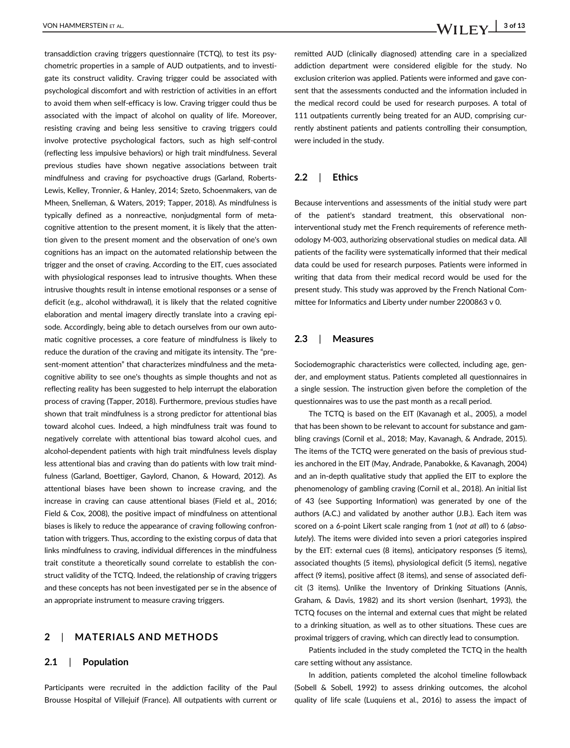transaddiction craving triggers questionnaire (TCTQ), to test its psychometric properties in a sample of AUD outpatients, and to investigate its construct validity. Craving trigger could be associated with psychological discomfort and with restriction of activities in an effort to avoid them when self-efficacy is low. Craving trigger could thus be associated with the impact of alcohol on quality of life. Moreover, resisting craving and being less sensitive to craving triggers could involve protective psychological factors, such as high self-control (reflecting less impulsive behaviors) or high trait mindfulness. Several previous studies have shown negative associations between trait mindfulness and craving for psychoactive drugs (Garland, Roberts-Lewis, Kelley, Tronnier, & Hanley, 2014; Szeto, Schoenmakers, van de Mheen, Snelleman, & Waters, 2019; Tapper, 2018). As mindfulness is typically defined as a nonreactive, nonjudgmental form of metacognitive attention to the present moment, it is likely that the attention given to the present moment and the observation of one's own cognitions has an impact on the automated relationship between the trigger and the onset of craving. According to the EIT, cues associated with physiological responses lead to intrusive thoughts. When these intrusive thoughts result in intense emotional responses or a sense of deficit (e.g., alcohol withdrawal), it is likely that the related cognitive elaboration and mental imagery directly translate into a craving episode. Accordingly, being able to detach ourselves from our own automatic cognitive processes, a core feature of mindfulness is likely to reduce the duration of the craving and mitigate its intensity. The "present-moment attention" that characterizes mindfulness and the metacognitive ability to see one's thoughts as simple thoughts and not as reflecting reality has been suggested to help interrupt the elaboration process of craving (Tapper, 2018). Furthermore, previous studies have shown that trait mindfulness is a strong predictor for attentional bias toward alcohol cues. Indeed, a high mindfulness trait was found to negatively correlate with attentional bias toward alcohol cues, and alcohol-dependent patients with high trait mindfulness levels display less attentional bias and craving than do patients with low trait mindfulness (Garland, Boettiger, Gaylord, Chanon, & Howard, 2012). As attentional biases have been shown to increase craving, and the increase in craving can cause attentional biases (Field et al., 2016; Field & Cox, 2008), the positive impact of mindfulness on attentional biases is likely to reduce the appearance of craving following confrontation with triggers. Thus, according to the existing corpus of data that links mindfulness to craving, individual differences in the mindfulness trait constitute a theoretically sound correlate to establish the construct validity of the TCTQ. Indeed, the relationship of craving triggers and these concepts has not been investigated per se in the absence of an appropriate instrument to measure craving triggers.

# **2** | **MATERIALS AND METHODS**

#### **2.1** | **Population**

Participants were recruited in the addiction facility of the Paul Brousse Hospital of Villejuif (France). All outpatients with current or remitted AUD (clinically diagnosed) attending care in a specialized addiction department were considered eligible for the study. No exclusion criterion was applied. Patients were informed and gave consent that the assessments conducted and the information included in the medical record could be used for research purposes. A total of 111 outpatients currently being treated for an AUD, comprising currently abstinent patients and patients controlling their consumption, were included in the study.

### **2.2** | **Ethics**

Because interventions and assessments of the initial study were part of the patient's standard treatment, this observational noninterventional study met the French requirements of reference methodology M-003, authorizing observational studies on medical data. All patients of the facility were systematically informed that their medical data could be used for research purposes. Patients were informed in writing that data from their medical record would be used for the present study. This study was approved by the French National Committee for Informatics and Liberty under number 2200863 v 0.

#### **2.3** | **Measures**

Sociodemographic characteristics were collected, including age, gender, and employment status. Patients completed all questionnaires in a single session. The instruction given before the completion of the questionnaires was to use the past month as a recall period.

The TCTQ is based on the EIT (Kavanagh et al., 2005), a model that has been shown to be relevant to account for substance and gambling cravings (Cornil et al., 2018; May, Kavanagh, & Andrade, 2015). The items of the TCTQ were generated on the basis of previous studies anchored in the EIT (May, Andrade, Panabokke, & Kavanagh, 2004) and an in-depth qualitative study that applied the EIT to explore the phenomenology of gambling craving (Cornil et al., 2018). An initial list of 43 (see Supporting Information) was generated by one of the authors (A.C.) and validated by another author (J.B.). Each item was scored on a 6-point Likert scale ranging from 1 (*not at all*) to 6 (*absolutely*). The items were divided into seven a priori categories inspired by the EIT: external cues (8 items), anticipatory responses (5 items), associated thoughts (5 items), physiological deficit (5 items), negative affect (9 items), positive affect (8 items), and sense of associated deficit (3 items). Unlike the Inventory of Drinking Situations (Annis, Graham, & Davis, 1982) and its short version (Isenhart, 1993), the TCTQ focuses on the internal and external cues that might be related to a drinking situation, as well as to other situations. These cues are proximal triggers of craving, which can directly lead to consumption.

Patients included in the study completed the TCTQ in the health care setting without any assistance.

In addition, patients completed the alcohol timeline followback (Sobell & Sobell, 1992) to assess drinking outcomes, the alcohol quality of life scale (Luquiens et al., 2016) to assess the impact of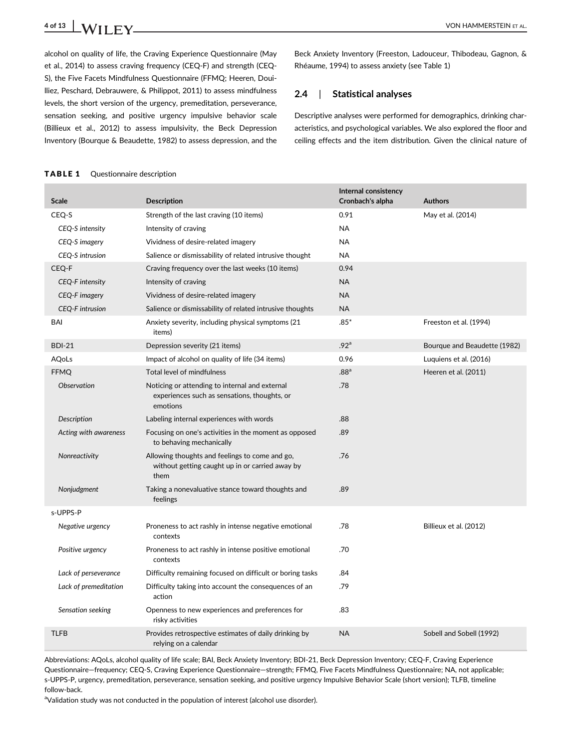**4 of 13** VON HAMMERSTEIN ET AL.

alcohol on quality of life, the Craving Experience Questionnaire (May et al., 2014) to assess craving frequency (CEQ-F) and strength (CEQ-S), the Five Facets Mindfulness Questionnaire (FFMQ; Heeren, Douilliez, Peschard, Debrauwere, & Philippot, 2011) to assess mindfulness levels, the short version of the urgency, premeditation, perseverance, sensation seeking, and positive urgency impulsive behavior scale (Billieux et al., 2012) to assess impulsivity, the Beck Depression Inventory (Bourque & Beaudette, 1982) to assess depression, and the

Beck Anxiety Inventory (Freeston, Ladouceur, Thibodeau, Gagnon, & Rhéaume, 1994) to assess anxiety (see Table 1)

# **2.4** | **Statistical analyses**

Descriptive analyses were performed for demographics, drinking characteristics, and psychological variables. We also explored the floor and ceiling effects and the item distribution. Given the clinical nature of

# TABLE 1 Questionnaire description

| <b>Scale</b>           | <b>Description</b>                                                                                         | Internal consistency<br>Cronbach's alpha | <b>Authors</b>               |
|------------------------|------------------------------------------------------------------------------------------------------------|------------------------------------------|------------------------------|
| CEQ-S                  | Strength of the last craving (10 items)                                                                    | 0.91                                     | May et al. (2014)            |
| CEQ-S intensity        | Intensity of craving                                                                                       | <b>NA</b>                                |                              |
| CEQ-S imagery          | Vividness of desire-related imagery                                                                        | <b>NA</b>                                |                              |
| CEQ-S intrusion        | Salience or dismissability of related intrusive thought                                                    | <b>NA</b>                                |                              |
| CEQ-F                  | Craving frequency over the last weeks (10 items)                                                           | 0.94                                     |                              |
| CEQ-F intensity        | Intensity of craving                                                                                       | <b>NA</b>                                |                              |
| CEQ-F imagery          | Vividness of desire-related imagery                                                                        | <b>NA</b>                                |                              |
| <b>CEQ-F</b> intrusion | Salience or dismissability of related intrusive thoughts                                                   | NA                                       |                              |
| BAI                    | Anxiety severity, including physical symptoms (21)<br>items)                                               | $.85*$                                   | Freeston et al. (1994)       |
| <b>BDI-21</b>          | Depression severity (21 items)                                                                             | .92 <sup>a</sup>                         | Bourque and Beaudette (1982) |
| AQoLs                  | Impact of alcohol on quality of life (34 items)                                                            | 0.96                                     | Luquiens et al. (2016)       |
| <b>FFMQ</b>            | Total level of mindfulness                                                                                 | .88 <sup>a</sup>                         | Heeren et al. (2011)         |
| Observation            | Noticing or attending to internal and external<br>experiences such as sensations, thoughts, or<br>emotions | .78                                      |                              |
| <b>Description</b>     | Labeling internal experiences with words                                                                   | .88                                      |                              |
| Acting with awareness  | Focusing on one's activities in the moment as opposed<br>to behaving mechanically                          | .89                                      |                              |
| Nonreactivity          | Allowing thoughts and feelings to come and go,<br>without getting caught up in or carried away by<br>them  | .76                                      |                              |
| Nonjudgment            | Taking a nonevaluative stance toward thoughts and<br>feelings                                              | .89                                      |                              |
| s-UPPS-P               |                                                                                                            |                                          |                              |
| Negative urgency       | Proneness to act rashly in intense negative emotional<br>contexts                                          | .78                                      | Billieux et al. (2012)       |
| Positive urgency       | Proneness to act rashly in intense positive emotional<br>contexts                                          | .70                                      |                              |
| Lack of perseverance   | Difficulty remaining focused on difficult or boring tasks                                                  | .84                                      |                              |
| Lack of premeditation  | Difficulty taking into account the consequences of an<br>action                                            | .79                                      |                              |
| Sensation seeking      | Openness to new experiences and preferences for<br>risky activities                                        | .83                                      |                              |
| <b>TLFB</b>            | Provides retrospective estimates of daily drinking by<br>relying on a calendar                             | <b>NA</b>                                | Sobell and Sobell (1992)     |

Abbreviations: AQoLs, alcohol quality of life scale; BAI, Beck Anxiety Inventory; BDI-21, Beck Depression Inventory; CEQ-F, Craving Experience Questionnaire—frequency; CEQ-S, Craving Experience Questionnaire—strength; FFMQ, Five Facets Mindfulness Questionnaire; NA, not applicable; s-UPPS-P, urgency, premeditation, perseverance, sensation seeking, and positive urgency Impulsive Behavior Scale (short version); TLFB, timeline follow-back.

<sup>a</sup>Validation study was not conducted in the population of interest (alcohol use disorder).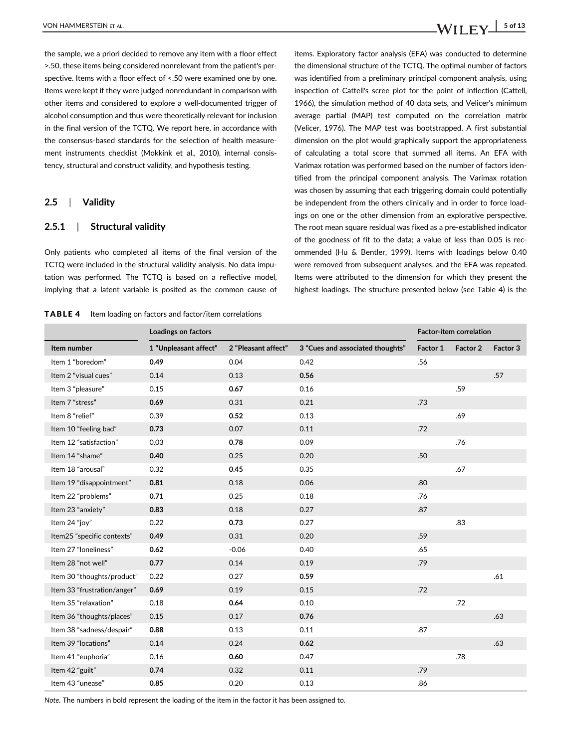the sample, we a priori decided to remove any item with a floor effect >.50, these items being considered nonrelevant from the patient's perspective. Items with a floor effect of <.50 were examined one by one. Items were kept if they were judged nonredundant in comparison with other items and considered to explore a well-documented trigger of alcohol consumption and thus were theoretically relevant for inclusion in the final version of the TCTQ. We report here, in accordance with the consensus-based standards for the selection of health measurement instruments checklist (Mokkink et al., 2010), internal consistency, structural and construct validity, and hypothesis testing.

#### **2.5** | **Validity**

#### **2.5.1** | **Structural validity**

Only patients who completed all items of the final version of the TCTQ were included in the structural validity analysis. No data imputation was performed. The TCTQ is based on a reflective model, implying that a latent variable is posited as the common cause of

TABLE 4 Item loading on factors and factor/item correlations

items. Exploratory factor analysis (EFA) was conducted to determine the dimensional structure of the TCTQ. The optimal number of factors was identified from a preliminary principal component analysis, using inspection of Cattell's scree plot for the point of inflection (Cattell, 1966), the simulation method of 40 data sets, and Velicer's minimum average partial (MAP) test computed on the correlation matrix (Velicer, 1976). The MAP test was bootstrapped. A first substantial dimension on the plot would graphically support the appropriateness of calculating a total score that summed all items. An EFA with Varimax rotation was performed based on the number of factors identified from the principal component analysis. The Varimax rotation was chosen by assuming that each triggering domain could potentially be independent from the others clinically and in order to force loadings on one or the other dimension from an explorative perspective. The root mean square residual was fixed as a pre-established indicator of the goodness of fit to the data; a value of less than 0.05 is recommended (Hu & Bentler, 1999). Items with loadings below 0.40 were removed from subsequent analyses, and the EFA was repeated. Items were attributed to the dimension for which they present the highest loadings. The structure presented below (see Table 4) is the

|                             | Loadings on factors   |                     |                                  | Factor-item correlation |          |          |
|-----------------------------|-----------------------|---------------------|----------------------------------|-------------------------|----------|----------|
| Item number                 | 1 "Unpleasant affect" | 2 "Pleasant affect" | 3 "Cues and associated thoughts" | Factor 1                | Factor 2 | Factor 3 |
| Item 1 "boredom"            | 0.49                  | 0.04                | 0.42                             | .56                     |          |          |
| Item 2 "visual cues"        | 0.14                  | 0.13                | 0.56                             |                         |          | .57      |
| Item 3 "pleasure"           | 0.15                  | 0.67                | 0.16                             |                         | .59      |          |
| Item 7 "stress"             | 0.69                  | 0.31                | 0.21                             | .73                     |          |          |
| Item 8 "relief"             | 0.39                  | 0.52                | 0.13                             |                         | .69      |          |
| Item 10 "feeling bad"       | 0.73                  | 0.07                | 0.11                             | .72                     |          |          |
| Item 12 "satisfaction"      | 0.03                  | 0.78                | 0.09                             |                         | .76      |          |
| Item 14 "shame"             | 0.40                  | 0.25                | 0.20                             | .50                     |          |          |
| Item 18 "arousal"           | 0.32                  | 0.45                | 0.35                             |                         | .67      |          |
| Item 19 "disappointment"    | 0.81                  | 0.18                | 0.06                             | .80                     |          |          |
| Item 22 "problems"          | 0.71                  | 0.25                | 0.18                             | .76                     |          |          |
| Item 23 "anxiety"           | 0.83                  | 0.18                | 0.27                             | .87                     |          |          |
| Item 24 "joy"               | 0.22                  | 0.73                | 0.27                             |                         | .83      |          |
| Item25 "specific contexts"  | 0.49                  | 0.31                | 0.20                             | .59                     |          |          |
| Item 27 "Ioneliness"        | 0.62                  | $-0.06$             | 0.40                             | .65                     |          |          |
| Item 28 "not well"          | 0.77                  | 0.14                | 0.19                             | .79                     |          |          |
| Item 30 "thoughts/product"  | 0.22                  | 0.27                | 0.59                             |                         |          | .61      |
| Item 33 "frustration/anger" | 0.69                  | 0.19                | 0.15                             | .72                     |          |          |
| Item 35 "relaxation"        | 0.18                  | 0.64                | 0.10                             |                         | .72      |          |
| Item 36 "thoughts/places"   | 0.15                  | 0.17                | 0.76                             |                         |          | .63      |
| Item 38 "sadness/despair"   | 0.88                  | 0.13                | 0.11                             | .87                     |          |          |
| Item 39 "locations"         | 0.14                  | 0.24                | 0.62                             |                         |          | .63      |
| Item 41 "euphoria"          | 0.16                  | 0.60                | 0.47                             |                         | .78      |          |
| Item 42 "guilt"             | 0.74                  | 0.32                | 0.11                             | .79                     |          |          |
| Item 43 "unease"            | 0.85                  | 0.20                | 0.13                             | .86                     |          |          |

*Note.* The numbers in bold represent the loading of the item in the factor it has been assigned to.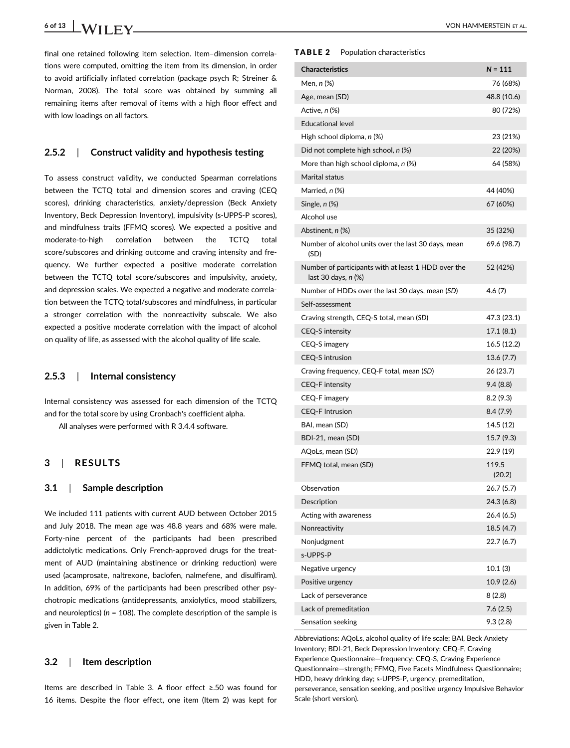final one retained following item selection. Item–dimension correlations were computed, omitting the item from its dimension, in order to avoid artificially inflated correlation (package psych R; Streiner & Norman, 2008). The total score was obtained by summing all remaining items after removal of items with a high floor effect and with low loadings on all factors.

#### **2.5.2** | **Construct validity and hypothesis testing**

To assess construct validity, we conducted Spearman correlations between the TCTQ total and dimension scores and craving (CEQ scores), drinking characteristics, anxiety/depression (Beck Anxiety Inventory, Beck Depression Inventory), impulsivity (s-UPPS-P scores), and mindfulness traits (FFMQ scores). We expected a positive and moderate-to-high correlation between the TCTQ total score/subscores and drinking outcome and craving intensity and frequency. We further expected a positive moderate correlation between the TCTQ total score/subscores and impulsivity, anxiety, and depression scales. We expected a negative and moderate correlation between the TCTQ total/subscores and mindfulness, in particular a stronger correlation with the nonreactivity subscale. We also expected a positive moderate correlation with the impact of alcohol on quality of life, as assessed with the alcohol quality of life scale.

### **2.5.3** | **Internal consistency**

Internal consistency was assessed for each dimension of the TCTQ and for the total score by using Cronbach's coefficient alpha.

All analyses were performed with R 3.4.4 software.

# **3** | **RESULTS**

### **3.1** | **Sample description**

We included 111 patients with current AUD between October 2015 and July 2018. The mean age was 48.8 years and 68% were male. Forty-nine percent of the participants had been prescribed addictolytic medications. Only French-approved drugs for the treatment of AUD (maintaining abstinence or drinking reduction) were used (acamprosate, naltrexone, baclofen, nalmefene, and disulfiram). In addition, 69% of the participants had been prescribed other psychotropic medications (antidepressants, anxiolytics, mood stabilizers, and neuroleptics) (*n* = 108). The complete description of the sample is given in Table 2.

### **3.2** | **Item description**

Items are described in Table 3. A floor effect ≥.50 was found for 16 items. Despite the floor effect, one item (Item 2) was kept for

#### TABLE 2 Population characteristics

| <b>Characteristics</b>                                                     | $N = 111$       |
|----------------------------------------------------------------------------|-----------------|
| Men, n (%)                                                                 | 76 (68%)        |
| Age, mean (SD)                                                             | 48.8 (10.6)     |
| Active, n (%)                                                              | 80 (72%)        |
| <b>Educational level</b>                                                   |                 |
| High school diploma, n (%)                                                 | 23 (21%)        |
| Did not complete high school, n (%)                                        | 22 (20%)        |
| More than high school diploma, $n$ (%)                                     | 64 (58%)        |
| <b>Marital status</b>                                                      |                 |
| Married, n (%)                                                             | 44 (40%)        |
| Single, $n$ $%$                                                            | 67 (60%)        |
| Alcohol use                                                                |                 |
| Abstinent, <i>n</i> (%)                                                    | 35 (32%)        |
| Number of alcohol units over the last 30 days, mean<br>(SD)                | 69.6 (98.7)     |
| Number of participants with at least 1 HDD over the<br>last 30 days, n (%) | 52 (42%)        |
| Number of HDDs over the last 30 days, mean (SD)                            | 4.6 (7)         |
| Self-assessment                                                            |                 |
| Craving strength, CEQ-S total, mean (SD)                                   | 47.3 (23.1)     |
| <b>CEQ-S</b> intensity                                                     | 17.1 (8.1)      |
| CEQ-S imagery                                                              | 16.5 (12.2)     |
| CEQ-S intrusion                                                            | 13.6(7.7)       |
| Craving frequency, CEQ-F total, mean (SD)                                  | 26 (23.7)       |
| <b>CEQ-F</b> intensity                                                     | 9.4 (8.8)       |
| CEQ-F imagery                                                              | 8.2 (9.3)       |
| <b>CEQ-F Intrusion</b>                                                     | 8.4(7.9)        |
| BAI, mean (SD)                                                             | 14.5 (12)       |
| BDI-21, mean (SD)                                                          | 15.7 (9.3)      |
| AQoLs, mean (SD)                                                           | 22.9 (19)       |
| FFMQ total, mean (SD)                                                      | 119.5<br>(20.2) |
| Observation                                                                | 26.7 (5.7)      |
| Description                                                                | 24.3 (6.8)      |
| Acting with awareness                                                      | 26.4 (6.5)      |
| Nonreactivity                                                              | 18.5 (4.7)      |
| Nonjudgment                                                                | 22.7 (6.7)      |
| s-UPPS-P                                                                   |                 |
| Negative urgency                                                           | 10.1(3)         |
| Positive urgency                                                           | 10.9(2.6)       |
| Lack of perseverance                                                       | 8(2.8)          |
| Lack of premeditation                                                      | 7.6(2.5)        |
| Sensation seeking                                                          | 9.3(2.8)        |

Abbreviations: AQoLs, alcohol quality of life scale; BAI, Beck Anxiety Inventory; BDI-21, Beck Depression Inventory; CEQ-F, Craving Experience Questionnaire—frequency; CEQ-S, Craving Experience Questionnaire—strength; FFMQ, Five Facets Mindfulness Questionnaire; HDD, heavy drinking day; s-UPPS-P, urgency, premeditation, perseverance, sensation seeking, and positive urgency Impulsive Behavior Scale (short version).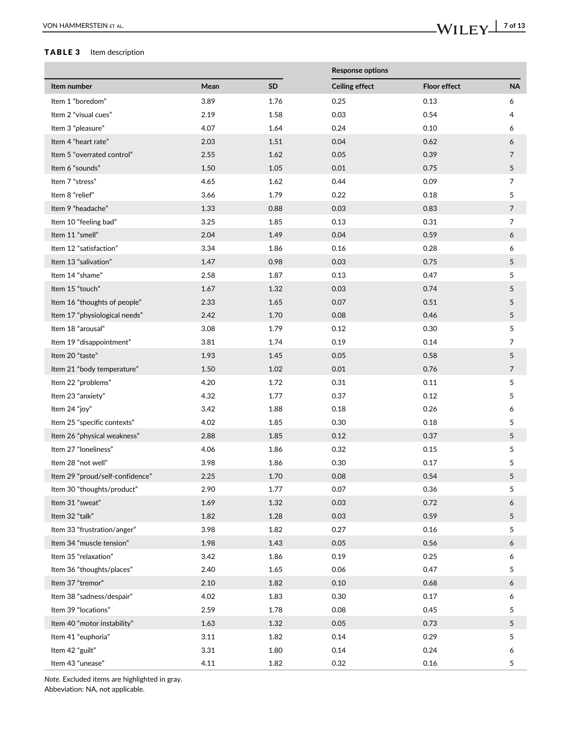# TABLE 3 Item description

|                                 |      |           | <b>Response options</b> |                     |                |
|---------------------------------|------|-----------|-------------------------|---------------------|----------------|
| Item number                     | Mean | <b>SD</b> | <b>Ceiling effect</b>   | <b>Floor effect</b> | <b>NA</b>      |
| Item 1 "boredom"                | 3.89 | 1.76      | 0.25                    | 0.13                | 6              |
| Item 2 "visual cues"            | 2.19 | 1.58      | 0.03                    | 0.54                | 4              |
| Item 3 "pleasure"               | 4.07 | 1.64      | 0.24                    | 0.10                | 6              |
| Item 4 "heart rate"             | 2.03 | 1.51      | 0.04                    | 0.62                | 6              |
| Item 5 "overrated control"      | 2.55 | 1.62      | 0.05                    | 0.39                | 7              |
| Item 6 "sounds"                 | 1.50 | 1.05      | 0.01                    | 0.75                | 5              |
| Item 7 "stress"                 | 4.65 | 1.62      | 0.44                    | 0.09                | $\overline{7}$ |
| Item 8 "relief"                 | 3.66 | 1.79      | 0.22                    | 0.18                | 5              |
| Item 9 "headache"               | 1.33 | 0.88      | 0.03                    | 0.83                | 7              |
| Item 10 "feeling bad"           | 3.25 | 1.85      | 0.13                    | 0.31                | 7              |
| Item 11 "smell"                 | 2.04 | 1.49      | 0.04                    | 0.59                | 6              |
| Item 12 "satisfaction"          | 3.34 | 1.86      | 0.16                    | 0.28                | 6              |
| Item 13 "salivation"            | 1.47 | 0.98      | 0.03                    | 0.75                | $5\phantom{.}$ |
| Item 14 "shame"                 | 2.58 | 1.87      | 0.13                    | 0.47                | 5              |
| Item 15 "touch"                 | 1.67 | 1.32      | 0.03                    | 0.74                | 5              |
| Item 16 "thoughts of people"    | 2.33 | 1.65      | 0.07                    | 0.51                | 5              |
| Item 17 "physiological needs"   | 2.42 | 1.70      | 0.08                    | 0.46                | 5              |
| Item 18 "arousal"               | 3.08 | 1.79      | 0.12                    | 0.30                | 5              |
| Item 19 "disappointment"        | 3.81 | 1.74      | 0.19                    | 0.14                | 7              |
| Item 20 "taste"                 | 1.93 | 1.45      | 0.05                    | 0.58                | 5              |
| Item 21 "body temperature"      | 1.50 | 1.02      | 0.01                    | 0.76                | 7              |
| Item 22 "problems"              | 4.20 | 1.72      | 0.31                    | 0.11                | 5              |
| Item 23 "anxiety"               | 4.32 | 1.77      | 0.37                    | 0.12                | 5              |
| Item 24 "joy"                   | 3.42 | 1.88      | 0.18                    | 0.26                | 6              |
| Item 25 "specific contexts"     | 4.02 | 1.85      | 0.30                    | 0.18                | 5              |
| Item 26 "physical weakness"     | 2.88 | 1.85      | 0.12                    | 0.37                | 5              |
| Item 27 "Ioneliness"            | 4.06 | 1.86      | 0.32                    | 0.15                | 5              |
| Item 28 "not well"              | 3.98 | 1.86      | 0.30                    | 0.17                | 5              |
| Item 29 "proud/self-confidence" | 2.25 | 1.70      | 0.08                    | 0.54                | 5              |
| Item 30 "thoughts/product"      | 2.90 | 1.77      | 0.07                    | 0.36                | 5              |
| Item 31 "sweat"                 | 1.69 | 1.32      | 0.03                    | 0.72                | 6              |
| Item 32 "talk"                  | 1.82 | 1.28      | 0.03                    | 0.59                | 5              |
| Item 33 "frustration/anger"     | 3.98 | 1.82      | 0.27                    | 0.16                | 5              |
| Item 34 "muscle tension"        | 1.98 | 1.43      | 0.05                    | 0.56                | 6              |
| Item 35 "relaxation"            | 3.42 | 1.86      | 0.19                    | 0.25                | 6              |
| Item 36 "thoughts/places"       | 2.40 | 1.65      | 0.06                    | 0.47                | 5              |
| Item 37 "tremor"                | 2.10 | 1.82      | 0.10                    | 0.68                | 6              |
| Item 38 "sadness/despair"       | 4.02 | 1.83      | 0.30                    | 0.17                | 6              |
| Item 39 "locations"             | 2.59 | 1.78      | 0.08                    | 0.45                | 5              |
| Item 40 "motor instability"     | 1.63 | 1.32      | 0.05                    | 0.73                | 5              |
| Item 41 "euphoria"              | 3.11 | 1.82      | 0.14                    | 0.29                | 5              |
| Item 42 "guilt"                 | 3.31 | 1.80      | 0.14                    | 0.24                | 6              |
| Item 43 "unease"                | 4.11 | 1.82      | 0.32                    | 0.16                | 5              |

*Note.* Excluded items are highlighted in gray.

Abbeviation: NA, not applicable.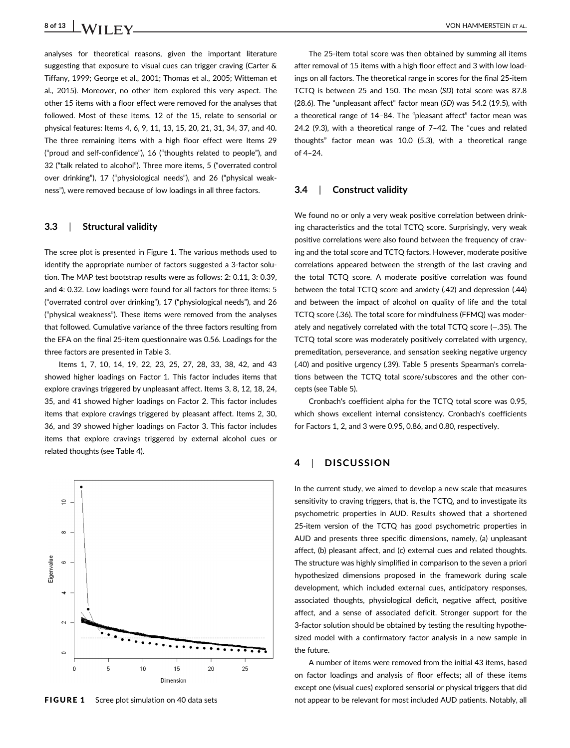analyses for theoretical reasons, given the important literature suggesting that exposure to visual cues can trigger craving (Carter & Tiffany, 1999; George et al., 2001; Thomas et al., 2005; Witteman et al., 2015). Moreover, no other item explored this very aspect. The other 15 items with a floor effect were removed for the analyses that followed. Most of these items, 12 of the 15, relate to sensorial or physical features: Items 4, 6, 9, 11, 13, 15, 20, 21, 31, 34, 37, and 40. The three remaining items with a high floor effect were Items 29 ("proud and self-confidence"), 16 ("thoughts related to people"), and 32 ("talk related to alcohol"). Three more items, 5 ("overrated control over drinking"), 17 ("physiological needs"), and 26 ("physical weakness"), were removed because of low loadings in all three factors.

### **3.3** | **Structural validity**

The scree plot is presented in Figure 1. The various methods used to identify the appropriate number of factors suggested a 3-factor solution. The MAP test bootstrap results were as follows: 2: 0.11, 3: 0.39, and 4: 0.32. Low loadings were found for all factors for three items: 5 ("overrated control over drinking"), 17 ("physiological needs"), and 26 ("physical weakness"). These items were removed from the analyses that followed. Cumulative variance of the three factors resulting from the EFA on the final 25-item questionnaire was 0.56. Loadings for the three factors are presented in Table 3.

Items 1, 7, 10, 14, 19, 22, 23, 25, 27, 28, 33, 38, 42, and 43 showed higher loadings on Factor 1. This factor includes items that explore cravings triggered by unpleasant affect. Items 3, 8, 12, 18, 24, 35, and 41 showed higher loadings on Factor 2. This factor includes items that explore cravings triggered by pleasant affect. Items 2, 30, 36, and 39 showed higher loadings on Factor 3. This factor includes items that explore cravings triggered by external alcohol cues or related thoughts (see Table 4).



The 25-item total score was then obtained by summing all items after removal of 15 items with a high floor effect and 3 with low loadings on all factors. The theoretical range in scores for the final 25-item TCTQ is between 25 and 150. The mean (*SD*) total score was 87.8 (28.6). The "unpleasant affect" factor mean (*SD*) was 54.2 (19.5), with a theoretical range of 14–84. The "pleasant affect" factor mean was 24.2 (9.3), with a theoretical range of 7–42. The "cues and related thoughts" factor mean was 10.0 (5.3), with a theoretical range  $of$  4–24

#### **3.4** | **Construct validity**

We found no or only a very weak positive correlation between drinking characteristics and the total TCTQ score. Surprisingly, very weak positive correlations were also found between the frequency of craving and the total score and TCTQ factors. However, moderate positive correlations appeared between the strength of the last craving and the total TCTQ score. A moderate positive correlation was found between the total TCTQ score and anxiety (.42) and depression (.44) and between the impact of alcohol on quality of life and the total TCTQ score (.36). The total score for mindfulness (FFMQ) was moderately and negatively correlated with the total TCTQ score (−.35). The TCTQ total score was moderately positively correlated with urgency, premeditation, perseverance, and sensation seeking negative urgency (.40) and positive urgency (.39). Table 5 presents Spearman's correlations between the TCTQ total score/subscores and the other concepts (see Table 5).

Cronbach's coefficient alpha for the TCTQ total score was 0.95, which shows excellent internal consistency. Cronbach's coefficients for Factors 1, 2, and 3 were 0.95, 0.86, and 0.80, respectively.

# **4** | **DISCUSSION**

In the current study, we aimed to develop a new scale that measures sensitivity to craving triggers, that is, the TCTQ, and to investigate its psychometric properties in AUD. Results showed that a shortened 25-item version of the TCTQ has good psychometric properties in AUD and presents three specific dimensions, namely, (a) unpleasant affect, (b) pleasant affect, and (c) external cues and related thoughts. The structure was highly simplified in comparison to the seven a priori hypothesized dimensions proposed in the framework during scale development, which included external cues, anticipatory responses, associated thoughts, physiological deficit, negative affect, positive affect, and a sense of associated deficit. Stronger support for the 3-factor solution should be obtained by testing the resulting hypothesized model with a confirmatory factor analysis in a new sample in the future.

A number of items were removed from the initial 43 items, based on factor loadings and analysis of floor effects; all of these items except one (visual cues) explored sensorial or physical triggers that did FIGURE 1 Scree plot simulation on 40 data sets not appear to be relevant for most included AUD patients. Notably, all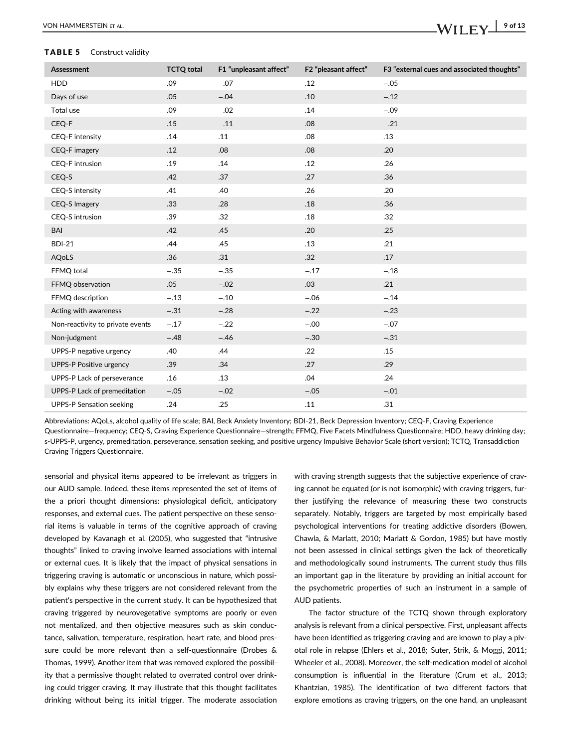#### TABLE 5 Construct validity

| Assessment                       | <b>TCTQ total</b> | F1 "unpleasant affect" | F2 "pleasant affect" | F3 "external cues and associated thoughts" |
|----------------------------------|-------------------|------------------------|----------------------|--------------------------------------------|
| <b>HDD</b>                       | .09               | .07                    | .12                  | $-.05$                                     |
| Days of use                      | .05               | $-.04$                 | .10                  | $-.12$                                     |
| Total use                        | .09               | .02                    | .14                  | $-.09$                                     |
| CEQ-F                            | .15               | .11                    | .08                  | .21                                        |
| CEQ-F intensity                  | .14               | .11                    | .08                  | .13                                        |
| CEQ-F imagery                    | .12               | .08                    | .08                  | .20                                        |
| <b>CEQ-F</b> intrusion           | .19               | .14                    | .12                  | .26                                        |
| CEQ-S                            | .42               | .37                    | .27                  | .36                                        |
| CEQ-S intensity                  | .41               | .40                    | .26                  | .20                                        |
| CEQ-S Imagery                    | .33               | .28                    | .18                  | .36                                        |
| CEQ-S intrusion                  | .39               | .32                    | .18                  | .32                                        |
| BAI                              | .42               | .45                    | .20                  | .25                                        |
| <b>BDI-21</b>                    | .44               | .45                    | .13                  | .21                                        |
| <b>AQoLS</b>                     | .36               | .31                    | .32                  | .17                                        |
| FFMQ total                       | $-.35$            | $-.35$                 | $-.17$               | $-.18$                                     |
| FFMQ observation                 | .05               | $-.02$                 | .03                  | .21                                        |
| FFMQ description                 | $-.13$            | $-.10$                 | $-.06$               | $-.14$                                     |
| Acting with awareness            | $-.31$            | $-.28$                 | $-.22$               | $-.23$                                     |
| Non-reactivity to private events | $-.17$            | $-.22$                 | $-.00$               | $-.07$                                     |
| Non-judgment                     | $-.48$            | $-.46$                 | $-.30$               | $-.31$                                     |
| UPPS-P negative urgency          | .40               | .44                    | .22                  | .15                                        |
| <b>UPPS-P Positive urgency</b>   | .39               | .34                    | .27                  | .29                                        |
| UPPS-P Lack of perseverance      | .16               | .13                    | .04                  | .24                                        |
| UPPS-P Lack of premeditation     | $-.05$            | $-.02$                 | $-.05$               | $-.01$                                     |
| <b>UPPS-P Sensation seeking</b>  | .24               | .25                    | .11                  | .31                                        |

Abbreviations: AQoLs, alcohol quality of life scale; BAI, Beck Anxiety Inventory; BDI-21, Beck Depression Inventory; CEQ-F, Craving Experience Questionnaire—frequency; CEQ-S, Craving Experience Questionnaire—strength; FFMQ, Five Facets Mindfulness Questionnaire; HDD, heavy drinking day; s-UPPS-P, urgency, premeditation, perseverance, sensation seeking, and positive urgency Impulsive Behavior Scale (short version); TCTQ, Transaddiction Craving Triggers Questionnaire.

sensorial and physical items appeared to be irrelevant as triggers in our AUD sample. Indeed, these items represented the set of items of the a priori thought dimensions: physiological deficit, anticipatory responses, and external cues. The patient perspective on these sensorial items is valuable in terms of the cognitive approach of craving developed by Kavanagh et al. (2005), who suggested that "intrusive thoughts" linked to craving involve learned associations with internal or external cues. It is likely that the impact of physical sensations in triggering craving is automatic or unconscious in nature, which possibly explains why these triggers are not considered relevant from the patient's perspective in the current study. It can be hypothesized that craving triggered by neurovegetative symptoms are poorly or even not mentalized, and then objective measures such as skin conductance, salivation, temperature, respiration, heart rate, and blood pressure could be more relevant than a self-questionnaire (Drobes & Thomas, 1999). Another item that was removed explored the possibility that a permissive thought related to overrated control over drinking could trigger craving. It may illustrate that this thought facilitates drinking without being its initial trigger. The moderate association

with craving strength suggests that the subjective experience of craving cannot be equated (or is not isomorphic) with craving triggers, further justifying the relevance of measuring these two constructs separately. Notably, triggers are targeted by most empirically based psychological interventions for treating addictive disorders (Bowen, Chawla, & Marlatt, 2010; Marlatt & Gordon, 1985) but have mostly not been assessed in clinical settings given the lack of theoretically and methodologically sound instruments. The current study thus fills an important gap in the literature by providing an initial account for the psychometric properties of such an instrument in a sample of AUD patients.

The factor structure of the TCTQ shown through exploratory analysis is relevant from a clinical perspective. First, unpleasant affects have been identified as triggering craving and are known to play a pivotal role in relapse (Ehlers et al., 2018; Suter, Strik, & Moggi, 2011; Wheeler et al., 2008). Moreover, the self-medication model of alcohol consumption is influential in the literature (Crum et al., 2013; Khantzian, 1985). The identification of two different factors that explore emotions as craving triggers, on the one hand, an unpleasant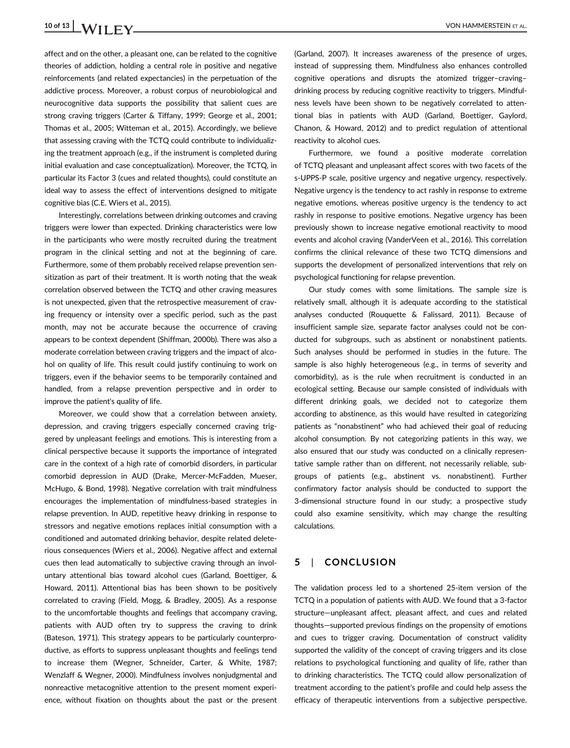# **10 of 13 I IA**/**II**  $\bf{F}$  **V VON HAMMERSTEIN** ET AL.

affect and on the other, a pleasant one, can be related to the cognitive theories of addiction, holding a central role in positive and negative reinforcements (and related expectancies) in the perpetuation of the addictive process. Moreover, a robust corpus of neurobiological and neurocognitive data supports the possibility that salient cues are strong craving triggers (Carter & Tiffany, 1999; George et al., 2001; Thomas et al., 2005; Witteman et al., 2015). Accordingly, we believe that assessing craving with the TCTQ could contribute to individualizing the treatment approach (e.g., if the instrument is completed during initial evaluation and case conceptualization). Moreover, the TCTQ, in particular its Factor 3 (cues and related thoughts), could constitute an ideal way to assess the effect of interventions designed to mitigate cognitive bias (C.E. Wiers et al., 2015).

Interestingly, correlations between drinking outcomes and craving triggers were lower than expected. Drinking characteristics were low in the participants who were mostly recruited during the treatment program in the clinical setting and not at the beginning of care. Furthermore, some of them probably received relapse prevention sensitization as part of their treatment. It is worth noting that the weak correlation observed between the TCTQ and other craving measures is not unexpected, given that the retrospective measurement of craving frequency or intensity over a specific period, such as the past month, may not be accurate because the occurrence of craving appears to be context dependent (Shiffman, 2000b). There was also a moderate correlation between craving triggers and the impact of alcohol on quality of life. This result could justify continuing to work on triggers, even if the behavior seems to be temporarily contained and handled, from a relapse prevention perspective and in order to improve the patient's quality of life.

Moreover, we could show that a correlation between anxiety, depression, and craving triggers especially concerned craving triggered by unpleasant feelings and emotions. This is interesting from a clinical perspective because it supports the importance of integrated care in the context of a high rate of comorbid disorders, in particular comorbid depression in AUD (Drake, Mercer-McFadden, Mueser, McHugo, & Bond, 1998). Negative correlation with trait mindfulness encourages the implementation of mindfulness-based strategies in relapse prevention. In AUD, repetitive heavy drinking in response to stressors and negative emotions replaces initial consumption with a conditioned and automated drinking behavior, despite related deleterious consequences (Wiers et al., 2006). Negative affect and external cues then lead automatically to subjective craving through an involuntary attentional bias toward alcohol cues (Garland, Boettiger, & Howard, 2011). Attentional bias has been shown to be positively correlated to craving (Field, Mogg, & Bradley, 2005). As a response to the uncomfortable thoughts and feelings that accompany craving, patients with AUD often try to suppress the craving to drink (Bateson, 1971). This strategy appears to be particularly counterproductive, as efforts to suppress unpleasant thoughts and feelings tend to increase them (Wegner, Schneider, Carter, & White, 1987; Wenzlaff & Wegner, 2000). Mindfulness involves nonjudgmental and nonreactive metacognitive attention to the present moment experience, without fixation on thoughts about the past or the present (Garland, 2007). It increases awareness of the presence of urges, instead of suppressing them. Mindfulness also enhances controlled cognitive operations and disrupts the atomized trigger–craving– drinking process by reducing cognitive reactivity to triggers. Mindfulness levels have been shown to be negatively correlated to attentional bias in patients with AUD (Garland, Boettiger, Gaylord, Chanon, & Howard, 2012) and to predict regulation of attentional reactivity to alcohol cues.

Furthermore, we found a positive moderate correlation of TCTQ pleasant and unpleasant affect scores with two facets of the s-UPPS-P scale, positive urgency and negative urgency, respectively. Negative urgency is the tendency to act rashly in response to extreme negative emotions, whereas positive urgency is the tendency to act rashly in response to positive emotions. Negative urgency has been previously shown to increase negative emotional reactivity to mood events and alcohol craving (VanderVeen et al., 2016). This correlation confirms the clinical relevance of these two TCTQ dimensions and supports the development of personalized interventions that rely on psychological functioning for relapse prevention.

Our study comes with some limitations. The sample size is relatively small, although it is adequate according to the statistical analyses conducted (Rouquette & Falissard, 2011). Because of insufficient sample size, separate factor analyses could not be conducted for subgroups, such as abstinent or nonabstinent patients. Such analyses should be performed in studies in the future. The sample is also highly heterogeneous (e.g., in terms of severity and comorbidity), as is the rule when recruitment is conducted in an ecological setting. Because our sample consisted of individuals with different drinking goals, we decided not to categorize them according to abstinence, as this would have resulted in categorizing patients as "nonabstinent" who had achieved their goal of reducing alcohol consumption. By not categorizing patients in this way, we also ensured that our study was conducted on a clinically representative sample rather than on different, not necessarily reliable, subgroups of patients (e.g., abstinent vs. nonabstinent). Further confirmatory factor analysis should be conducted to support the 3-dimensional structure found in our study; a prospective study could also examine sensitivity, which may change the resulting calculations.

### **5** | **CONCLUSION**

The validation process led to a shortened 25-item version of the TCTQ in a population of patients with AUD. We found that a 3-factor structure—unpleasant affect, pleasant affect, and cues and related thoughts—supported previous findings on the propensity of emotions and cues to trigger craving. Documentation of construct validity supported the validity of the concept of craving triggers and its close relations to psychological functioning and quality of life, rather than to drinking characteristics. The TCTQ could allow personalization of treatment according to the patient's profile and could help assess the efficacy of therapeutic interventions from a subjective perspective.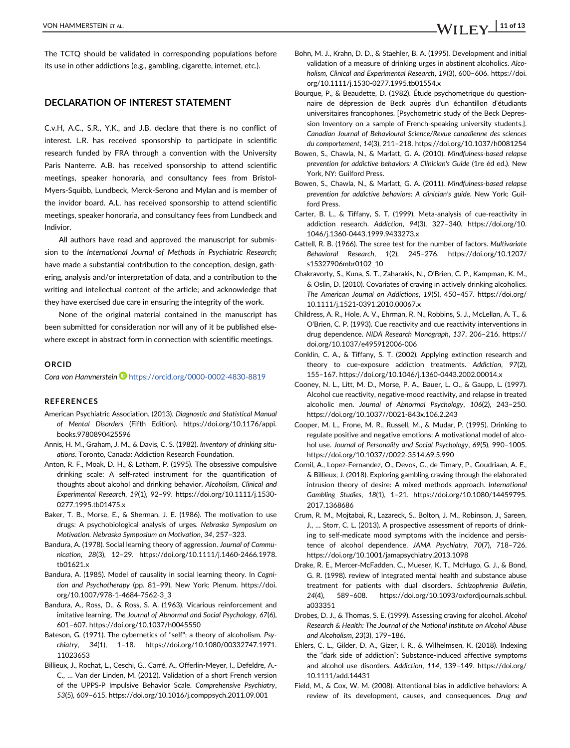The TCTQ should be validated in corresponding populations before its use in other addictions (e.g., gambling, cigarette, internet, etc.).

# **DECLARATION OF INTEREST STATEMENT**

C.v.H, A.C., S.R., Y.K., and J.B. declare that there is no conflict of interest. L.R. has received sponsorship to participate in scientific research funded by FRA through a convention with the University Paris Nanterre. A.B. has received sponsorship to attend scientific meetings, speaker honoraria, and consultancy fees from Bristol-Myers-Squibb, Lundbeck, Merck-Serono and Mylan and is member of the invidor board. A.L. has received sponsorship to attend scientific meetings, speaker honoraria, and consultancy fees from Lundbeck and Indivior.

All authors have read and approved the manuscript for submission to the *International Journal of Methods in Psychiatric Research*; have made a substantial contribution to the conception, design, gathering, analysis and/or interpretation of data, and a contribution to the writing and intellectual content of the article; and acknowledge that they have exercised due care in ensuring the integrity of the work.

None of the original material contained in the manuscript has been submitted for consideration nor will any of it be published elsewhere except in abstract form in connection with scientific meetings.

#### **ORCID**

Cora von Hammerstein<sup>D</sup> <https://orcid.org/0000-0002-4830-8819>

#### **REFERENCES**

- American Psychiatric Association. (2013). *Diagnostic and Statistical Manual of Mental Disorders* (Fifth Edition). [https://doi.org/10.1176/appi.](https://doi.org/10.1176/appi.books.9780890425596) [books.9780890425596](https://doi.org/10.1176/appi.books.9780890425596)
- Annis, H. M., Graham, J. M., & Davis, C. S. (1982). *Inventory of drinking situations*. Toronto, Canada: Addiction Research Foundation.
- Anton, R. F., Moak, D. H., & Latham, P. (1995). The obsessive compulsive drinking scale: A self-rated instrument for the quantification of thoughts about alcohol and drinking behavior. *Alcoholism, Clinical and Experimental Research*, *19*(1), 92–99. [https://doi.org/10.1111/j.1530-](https://doi.org/10.1111/j.1530-0277.1995.tb01475.x) [0277.1995.tb01475.x](https://doi.org/10.1111/j.1530-0277.1995.tb01475.x)
- Baker, T. B., Morse, E., & Sherman, J. E. (1986). The motivation to use drugs: A psychobiological analysis of urges. *Nebraska Symposium on Motivation. Nebraska Symposium on Motivation*, *34*, 257–323.
- Bandura, A. (1978). Social learning theory of aggression. *Journal of Communication*, *28*(3), 12–29. [https://doi.org/10.1111/j.1460-2466.1978.](https://doi.org/10.1111/j.1460-2466.1978.tb01621.x) [tb01621.x](https://doi.org/10.1111/j.1460-2466.1978.tb01621.x)
- Bandura, A. (1985). Model of causality in social learning theory. In *Cognition and Psychotherapy* (pp. 81–99). New York: Plenum. [https://doi.](https://doi.org/10.1007/978-1-4684-7562-3_3) [org/10.1007/978-1-4684-7562-3\\_3](https://doi.org/10.1007/978-1-4684-7562-3_3)
- Bandura, A., Ross, D., & Ross, S. A. (1963). Vicarious reinforcement and imitative learning. *The Journal of Abnormal and Social Psychology*, *67*(6), 601–607.<https://doi.org/10.1037/h0045550>
- Bateson, G. (1971). The cybernetics of "self": a theory of alcoholism. *Psychiatry*, *34*(1), 1–18. [https://doi.org/10.1080/00332747.1971.](https://doi.org/10.1080/00332747.1971.11023653) [11023653](https://doi.org/10.1080/00332747.1971.11023653)
- Billieux, J., Rochat, L., Ceschi, G., Carré, A., Offerlin-Meyer, I., Defeldre, A.- C., … Van der Linden, M. (2012). Validation of a short French version of the UPPS-P Impulsive Behavior Scale. *Comprehensive Psychiatry*, *53*(5), 609–615.<https://doi.org/10.1016/j.comppsych.2011.09.001>
- Bohn, M. J., Krahn, D. D., & Staehler, B. A. (1995). Development and initial validation of a measure of drinking urges in abstinent alcoholics. *Alcoholism, Clinical and Experimental Research*, *19*(3), 600–606. [https://doi.](https://doi.org/10.1111/j.1530-0277.1995.tb01554.x) [org/10.1111/j.1530-0277.1995.tb01554.x](https://doi.org/10.1111/j.1530-0277.1995.tb01554.x)
- Bourque, P., & Beaudette, D. (1982). Étude psychometrique du questionnaire de dépression de Beck auprès d'un échantillon d'étudiants universitaires francophones. [Psychometric study of the Beck Depression Inventory on a sample of French-speaking university students.]. *Canadian Journal of Behavioural Science/Revue canadienne des sciences du comportement*, *14*(3), 211–218.<https://doi.org/10.1037/h0081254>
- Bowen, S., Chawla, N., & Marlatt, G. A. (2010). *Mindfulness-based relapse prevention for addictive behaviors: A Clinician's Guide* (1re éd ed.). New York, NY: Guilford Press.
- Bowen, S., Chawla, N., & Marlatt, G. A. (2011). *Mindfulness-based relapse prevention for addictive behaviors: A clinician's guide*. New York: Guilford Press.
- Carter, B. L., & Tiffany, S. T. (1999). Meta-analysis of cue-reactivity in addiction research. *Addiction*, *94*(3), 327–340. [https://doi.org/10.](https://doi.org/10.1046/j.1360-0443.1999.9433273.x) [1046/j.1360-0443.1999.9433273.x](https://doi.org/10.1046/j.1360-0443.1999.9433273.x)
- Cattell, R. B. (1966). The scree test for the number of factors. *Multivariate Behavioral Research*, *1*(2), 245–276. [https://doi.org/10.1207/](https://doi.org/10.1207/s15327906mbr0102_10) [s15327906mbr0102\\_10](https://doi.org/10.1207/s15327906mbr0102_10)
- Chakravorty, S., Kuna, S. T., Zaharakis, N., O'Brien, C. P., Kampman, K. M., & Oslin, D. (2010). Covariates of craving in actively drinking alcoholics. *The American Journal on Addictions*, *19*(5), 450–457. [https://doi.org/](https://doi.org/10.1111/j.1521-0391.2010.00067.x) [10.1111/j.1521-0391.2010.00067.x](https://doi.org/10.1111/j.1521-0391.2010.00067.x)
- Childress, A. R., Hole, A. V., Ehrman, R. N., Robbins, S. J., McLellan, A. T., & O'Brien, C. P. (1993). Cue reactivity and cue reactivity interventions in drug dependence. *NIDA Research Monograph*, *137*, 206–216. [https://](https://doi.org/10.1037/e495912006-006) [doi.org/10.1037/e495912006-006](https://doi.org/10.1037/e495912006-006)
- Conklin, C. A., & Tiffany, S. T. (2002). Applying extinction research and theory to cue-exposure addiction treatments. *Addiction*, *97*(2), 155–167.<https://doi.org/10.1046/j.1360-0443.2002.00014.x>
- Cooney, N. L., Litt, M. D., Morse, P. A., Bauer, L. O., & Gaupp, L. (1997). Alcohol cue reactivity, negative-mood reactivity, and relapse in treated alcoholic men. *Journal of Abnormal Psychology*, *106*(2), 243–250. <https://doi.org/10.1037//0021-843x.106.2.243>
- Cooper, M. L., Frone, M. R., Russell, M., & Mudar, P. (1995). Drinking to regulate positive and negative emotions: A motivational model of alcohol use. *Journal of Personality and Social Psychology*, *69*(5), 990–1005. <https://doi.org/10.1037//0022-3514.69.5.990>
- Cornil, A., Lopez-Fernandez, O., Devos, G., de Timary, P., Goudriaan, A. E., & Billieux, J. (2018). Exploring gambling craving through the elaborated intrusion theory of desire: A mixed methods approach. *International Gambling Studies*, *18*(1), 1–21. [https://doi.org/10.1080/14459795.](https://doi.org/10.1080/14459795.2017.1368686) [2017.1368686](https://doi.org/10.1080/14459795.2017.1368686)
- Crum, R. M., Mojtabai, R., Lazareck, S., Bolton, J. M., Robinson, J., Sareen, J., … Storr, C. L. (2013). A prospective assessment of reports of drinking to self-medicate mood symptoms with the incidence and persistence of alcohol dependence. *JAMA Psychiatry*, *70*(7), 718–726. <https://doi.org/10.1001/jamapsychiatry.2013.1098>
- Drake, R. E., Mercer-McFadden, C., Mueser, K. T., McHugo, G. J., & Bond, G. R. (1998). review of integrated mental health and substance abuse treatment for patients with dual disorders. *Schizophrenia Bulletin*, *24*(4), 589–608. [https://doi.org/10.1093/oxfordjournals.schbul.](https://doi.org/10.1093/oxfordjournals.schbul.a033351) [a033351](https://doi.org/10.1093/oxfordjournals.schbul.a033351)
- Drobes, D. J., & Thomas, S. E. (1999). Assessing craving for alcohol. *Alcohol Research & Health: The Journal of the National Institute on Alcohol Abuse and Alcoholism*, *23*(3), 179–186.
- Ehlers, C. L., Gilder, D. A., Gizer, I. R., & Wilhelmsen, K. (2018). Indexing the "dark side of addiction": Substance-induced affective symptoms and alcohol use disorders. *Addiction*, *114*, 139–149. [https://doi.org/](https://doi.org/10.1111/add.14431) [10.1111/add.14431](https://doi.org/10.1111/add.14431)
- Field, M., & Cox, W. M. (2008). Attentional bias in addictive behaviors: A review of its development, causes, and consequences. *Drug and*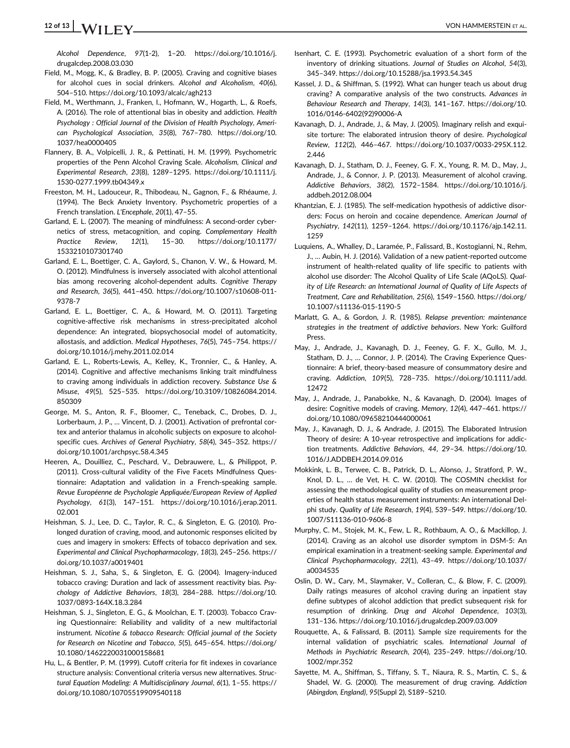# **12 of 13** VON HAMMERSTEIN ET AL.

*Alcohol Dependence*, *97*(1-2), 1–20. [https://doi.org/10.1016/j.](https://doi.org/10.1016/j.drugalcdep.2008.03.030) [drugalcdep.2008.03.030](https://doi.org/10.1016/j.drugalcdep.2008.03.030)

- Field, M., Mogg, K., & Bradley, B. P. (2005). Craving and cognitive biases for alcohol cues in social drinkers. *Alcohol and Alcoholism*, *40*(6), 504–510.<https://doi.org/10.1093/alcalc/agh213>
- Field, M., Werthmann, J., Franken, I., Hofmann, W., Hogarth, L., & Roefs, A. (2016). The role of attentional bias in obesity and addiction. *Health Psychology : Official Journal of the Division of Health Psychology, American Psychological Association*, *35*(8), 767–780. [https://doi.org/10.](https://doi.org/10.1037/hea0000405) [1037/hea0000405](https://doi.org/10.1037/hea0000405)
- Flannery, B. A., Volpicelli, J. R., & Pettinati, H. M. (1999). Psychometric properties of the Penn Alcohol Craving Scale. *Alcoholism, Clinical and Experimental Research*, *23*(8), 1289–1295. [https://doi.org/10.1111/j.](https://doi.org/10.1111/j.1530-0277.1999.tb04349.x) [1530-0277.1999.tb04349.x](https://doi.org/10.1111/j.1530-0277.1999.tb04349.x)
- Freeston, M. H., Ladouceur, R., Thibodeau, N., Gagnon, F., & Rhéaume, J. (1994). The Beck Anxiety Inventory. Psychometric properties of a French translation. *L'Encephale*, *20*(1), 47–55.
- Garland, E. L. (2007). The meaning of mindfulness: A second-order cybernetics of stress, metacognition, and coping. *Complementary Health Practice Review*, *12*(1), 15–30. [https://doi.org/10.1177/](https://doi.org/10.1177/1533210107301740) [1533210107301740](https://doi.org/10.1177/1533210107301740)
- Garland, E. L., Boettiger, C. A., Gaylord, S., Chanon, V. W., & Howard, M. O. (2012). Mindfulness is inversely associated with alcohol attentional bias among recovering alcohol-dependent adults. *Cognitive Therapy and Research*, *36*(5), 441–450. [https://doi.org/10.1007/s10608-011-](https://doi.org/10.1007/s10608-011-9378-7) [9378-7](https://doi.org/10.1007/s10608-011-9378-7)
- Garland, E. L., Boettiger, C. A., & Howard, M. O. (2011). Targeting cognitive-affective risk mechanisms in stress-precipitated alcohol dependence: An integrated, biopsychosocial model of automaticity, allostasis, and addiction. *Medical Hypotheses*, *76*(5), 745–754. [https://](https://doi.org/10.1016/j.mehy.2011.02.014) [doi.org/10.1016/j.mehy.2011.02.014](https://doi.org/10.1016/j.mehy.2011.02.014)
- Garland, E. L., Roberts-Lewis, A., Kelley, K., Tronnier, C., & Hanley, A. (2014). Cognitive and affective mechanisms linking trait mindfulness to craving among individuals in addiction recovery. *Substance Use & Misuse*, *49*(5), 525–535. [https://doi.org/10.3109/10826084.2014.](https://doi.org/10.3109/10826084.2014.850309) [850309](https://doi.org/10.3109/10826084.2014.850309)
- George, M. S., Anton, R. F., Bloomer, C., Teneback, C., Drobes, D. J., Lorberbaum, J. P., … Vincent, D. J. (2001). Activation of prefrontal cortex and anterior thalamus in alcoholic subjects on exposure to alcoholspecific cues. *Archives of General Psychiatry*, *58*(4), 345–352. [https://](https://doi.org/10.1001/archpsyc.58.4.345) [doi.org/10.1001/archpsyc.58.4.345](https://doi.org/10.1001/archpsyc.58.4.345)
- Heeren, A., Douilliez, C., Peschard, V., Debrauwere, L., & Philippot, P. (2011). Cross-cultural validity of the Five Facets Mindfulness Questionnaire: Adaptation and validation in a French-speaking sample. *Revue Européenne de Psychologie Appliquée/European Review of Applied Psychology*, *61*(3), 147–151. [https://doi.org/10.1016/j.erap.2011.](https://doi.org/10.1016/j.erap.2011.02.001) [02.001](https://doi.org/10.1016/j.erap.2011.02.001)
- Heishman, S. J., Lee, D. C., Taylor, R. C., & Singleton, E. G. (2010). Prolonged duration of craving, mood, and autonomic responses elicited by cues and imagery in smokers: Effects of tobacco deprivation and sex. *Experimental and Clinical Psychopharmacology*, *18*(3), 245–256. [https://](https://doi.org/10.1037/a0019401) [doi.org/10.1037/a0019401](https://doi.org/10.1037/a0019401)
- Heishman, S. J., Saha, S., & Singleton, E. G. (2004). Imagery-induced tobacco craving: Duration and lack of assessment reactivity bias. *Psychology of Addictive Behaviors*, *18*(3), 284–288. [https://doi.org/10.](https://doi.org/10.1037/0893-164X.18.3.284) [1037/0893-164X.18.3.284](https://doi.org/10.1037/0893-164X.18.3.284)
- Heishman, S. J., Singleton, E. G., & Moolchan, E. T. (2003). Tobacco Craving Questionnaire: Reliability and validity of a new multifactorial instrument. *Nicotine & tobacco Research: Official journal of the Society for Research on Nicotine and Tobacco*, *5*(5), 645–654. [https://doi.org/](https://doi.org/10.1080/1462220031000158681) [10.1080/1462220031000158681](https://doi.org/10.1080/1462220031000158681)
- Hu, L., & Bentler, P. M. (1999). Cutoff criteria for fit indexes in covariance structure analysis: Conventional criteria versus new alternatives. *Structural Equation Modeling: A Multidisciplinary Journal*, *6*(1), 1–55. [https://](https://doi.org/10.1080/10705519909540118) [doi.org/10.1080/10705519909540118](https://doi.org/10.1080/10705519909540118)
- Isenhart, C. E. (1993). Psychometric evaluation of a short form of the inventory of drinking situations. *Journal of Studies on Alcohol*, *54*(3), 345–349.<https://doi.org/10.15288/jsa.1993.54.345>
- Kassel, J. D., & Shiffman, S. (1992). What can hunger teach us about drug craving? A comparative analysis of the two constructs. *Advances in Behaviour Research and Therapy*, *14*(3), 141–167. [https://doi.org/10.](https://doi.org/10.1016/0146-6402(92)90006-A) [1016/0146-6402\(92\)90006-A](https://doi.org/10.1016/0146-6402(92)90006-A)
- Kavanagh, D. J., Andrade, J., & May, J. (2005). Imaginary relish and exquisite torture: The elaborated intrusion theory of desire. *Psychological Review*, *112*(2), 446–467. [https://doi.org/10.1037/0033-295X.112.](https://doi.org/10.1037/0033-295X.112.2.446) [2.446](https://doi.org/10.1037/0033-295X.112.2.446)
- Kavanagh, D. J., Statham, D. J., Feeney, G. F. X., Young, R. M. D., May, J., Andrade, J., & Connor, J. P. (2013). Measurement of alcohol craving. *Addictive Behaviors*, *38*(2), 1572–1584. [https://doi.org/10.1016/j.](https://doi.org/10.1016/j.addbeh.2012.08.004) [addbeh.2012.08.004](https://doi.org/10.1016/j.addbeh.2012.08.004)
- Khantzian, E. J. (1985). The self-medication hypothesis of addictive disorders: Focus on heroin and cocaine dependence. *American Journal of Psychiatry*, *142*(11), 1259–1264. [https://doi.org/10.1176/ajp.142.11.](https://doi.org/10.1176/ajp.142.11.1259) [1259](https://doi.org/10.1176/ajp.142.11.1259)
- Luquiens, A., Whalley, D., Laramée, P., Falissard, B., Kostogianni, N., Rehm, J., … Aubin, H. J. (2016). Validation of a new patient-reported outcome instrument of health-related quality of life specific to patients with alcohol use disorder: The Alcohol Quality of Life Scale (AQoLS). *Quality of Life Research: an International Journal of Quality of Life Aspects of Treatment, Care and Rehabilitation*, *25*(6), 1549–1560. [https://doi.org/](https://doi.org/10.1007/s11136-015-1190-5) [10.1007/s11136-015-1190-5](https://doi.org/10.1007/s11136-015-1190-5)
- Marlatt, G. A., & Gordon, J. R. (1985). *Relapse prevention: maintenance strategies in the treatment of addictive behaviors*. New York: Guilford Press.
- May, J., Andrade, J., Kavanagh, D. J., Feeney, G. F. X., Gullo, M. J., Statham, D. J., ... Connor, J. P. (2014). The Craving Experience Questionnaire: A brief, theory-based measure of consummatory desire and craving. *Addiction*, *109*(5), 728–735. [https://doi.org/10.1111/add.](https://doi.org/10.1111/add.12472) [12472](https://doi.org/10.1111/add.12472)
- May, J., Andrade, J., Panabokke, N., & Kavanagh, D. (2004). Images of desire: Cognitive models of craving. *Memory*, *12*(4), 447–461. [https://](https://doi.org/10.1080/09658210444000061) [doi.org/10.1080/09658210444000061](https://doi.org/10.1080/09658210444000061)
- May, J., Kavanagh, D. J., & Andrade, J. (2015). The Elaborated Intrusion Theory of desire: A 10-year retrospective and implications for addiction treatments. *Addictive Behaviors*, *44*, 29–34. [https://doi.org/10.](https://doi.org/10.1016/J.ADDBEH.2014.09.016) [1016/J.ADDBEH.2014.09.016](https://doi.org/10.1016/J.ADDBEH.2014.09.016)
- Mokkink, L. B., Terwee, C. B., Patrick, D. L., Alonso, J., Stratford, P. W., Knol, D. L., … de Vet, H. C. W. (2010). The COSMIN checklist for assessing the methodological quality of studies on measurement properties of health status measurement instruments: An international Delphi study. *Quality of Life Research*, *19*(4), 539–549. [https://doi.org/10.](https://doi.org/10.1007/S11136-010-9606-8) [1007/S11136-010-9606-8](https://doi.org/10.1007/S11136-010-9606-8)
- Murphy, C. M., Stojek, M. K., Few, L. R., Rothbaum, A. O., & Mackillop, J. (2014). Craving as an alcohol use disorder symptom in DSM-5: An empirical examination in a treatment-seeking sample. *Experimental and Clinical Psychopharmacology*, *22*(1), 43–49. [https://doi.org/10.1037/](https://doi.org/10.1037/a0034535) [a0034535](https://doi.org/10.1037/a0034535)
- Oslin, D. W., Cary, M., Slaymaker, V., Colleran, C., & Blow, F. C. (2009). Daily ratings measures of alcohol craving during an inpatient stay define subtypes of alcohol addiction that predict subsequent risk for resumption of drinking. *Drug and Alcohol Dependence*, *103*(3), 131–136.<https://doi.org/10.1016/j.drugalcdep.2009.03.009>
- Rouquette, A., & Falissard, B. (2011). Sample size requirements for the internal validation of psychiatric scales. *International Journal of Methods in Psychiatric Research*, *20*(4), 235–249. [https://doi.org/10.](https://doi.org/10.1002/mpr.352) [1002/mpr.352](https://doi.org/10.1002/mpr.352)
- Sayette, M. A., Shiffman, S., Tiffany, S. T., Niaura, R. S., Martin, C. S., & Shadel, W. G. (2000). The measurement of drug craving. *Addiction (Abingdon, England)*, *95*(Suppl 2), S189–S210.